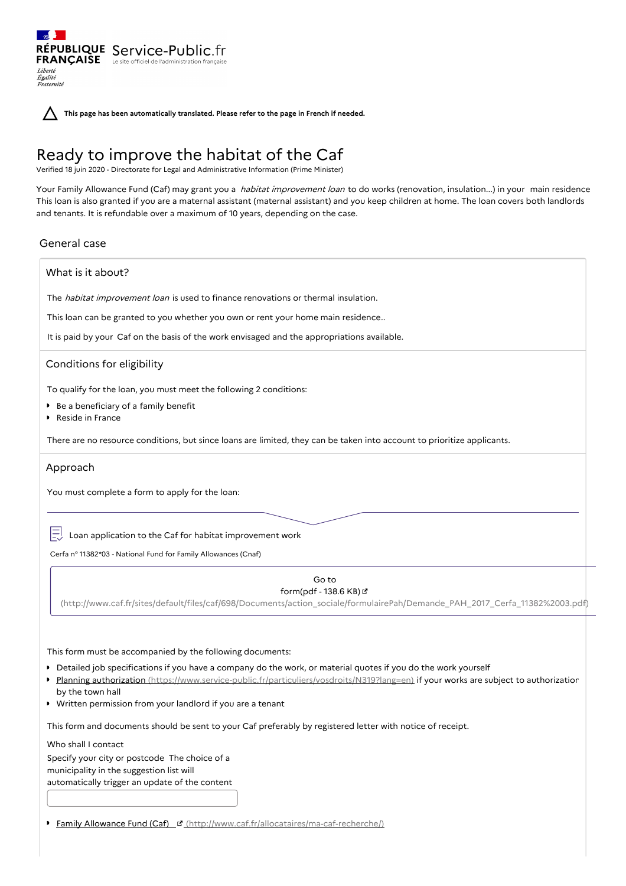RÉPUBLIQUE Service-Public.fr **FRANÇAISE** Le site officiel de l'administration Liberté Égalité<br>Fraternité

**This page has been automatically translated. Please refer to the page in French if needed.**

# Ready to improve the habitat of the Caf

Verified 18 juin 2020 - Directorate for Legal and Administrative Information (Prime Minister)

Your Family Allowance Fund (Caf) may grant you a *habitat improvement loan to do works (renovation, insulation...)* in your main residence This loan is also granted if you are a maternal assistant (maternal assistant) and you keep children at home. The loan covers both landlords and tenants. It is refundable over a maximum of 10 years, depending on the case.

# General case

# What is it about?

The *habitat improvement loan* is used to finance renovations or thermal insulation.

This loan can be granted to you whether you own or rent your home main residence..

It is paid by your Caf on the basis of the work envisaged and the appropriations available.

# Conditions for eligibility

To qualify for the loan, you must meet the following 2 conditions:

- Be a beneficiary of a family benefit
- Reside in France

There are no resource conditions, but since loans are limited, they can be taken into account to prioritize applicants.

## Approach

You must complete a form to apply for the loan:

 $\boxed{\square}$  Loan application to the Caf for habitat improvement work

Cerfa n° 11382\*03 - National Fund for Family Allowances (Cnaf)

## Go to form(pdf - 138.6 KB)

[\(http://www.caf.fr/sites/default/files/caf/698/Documents/action\\_sociale/formulairePah/Demande\\_PAH\\_2017\\_Cerfa\\_11382%2003.pdf\)](http://www.caf.fr/sites/default/files/caf/698/Documents/action_sociale/formulairePah/Demande_PAH_2017_Cerfa_11382%2003.pdf)

This form must be accompanied by the following documents:

- Detailed job specifications if you have a company do the work, or material quotes if you do the work yourself
- Planning authorization [\(https://www.service-public.fr/particuliers/vosdroits/N319?lang=en\)](https://www.service-public.fr/particuliers/vosdroits/N319?lang=en) if your works are subject to authorization  $\mathbf{r}$ by the town hall
- Written permission from your landlord if you are a tenant

This form and documents should be sent to your Caf preferably by registered letter with notice of receipt.

Who shall I contact

Specify your city or postcode The choice of a municipality in the suggestion list will automatically trigger an update of the content

Family Allowance Fund (Caf) [\(http://www.caf.fr/allocataires/ma-caf-recherche/\)](http://www.caf.fr/allocataires/ma-caf-recherche/)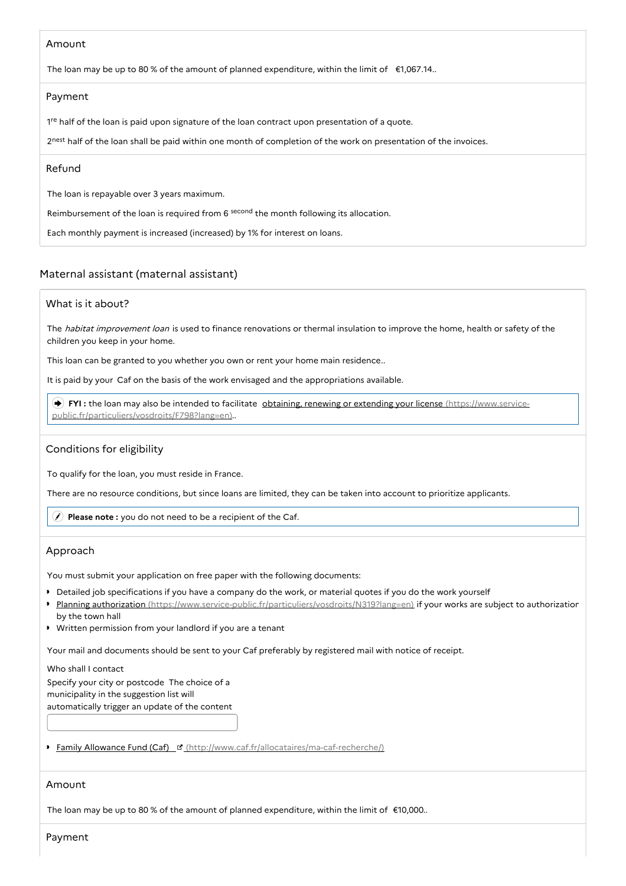# Amount

The loan may be up to 80 % of the amount of planned expenditure, within the limit of  $\epsilon$ 1,067.14..

# Payment

1<sup>re</sup> half of the loan is paid upon signature of the loan contract upon presentation of a quote.

2nest half of the loan shall be paid within one month of completion of the work on presentation of the invoices.

# Refund

The loan is repayable over 3 years maximum.

Reimbursement of the loan is required from 6 second the month following its allocation.

Each monthly payment is increased (increased) by 1% for interest on loans.

# Maternal assistant (maternal assistant)

# What is it about?

The habitat improvement loan is used to finance renovations or thermal insulation to improve the home, health or safety of the children you keep in your home.

This loan can be granted to you whether you own or rent your home main residence..

It is paid by your Caf on the basis of the work envisaged and the appropriations available.

FYI: the loan may also be intended to facilitate **obtaining, renewing or extending your license (https://www.service**[public.fr/particuliers/vosdroits/F798?lang=en\)..](https://www.service-public.fr/particuliers/vosdroits/F798?lang=en)

# Conditions for eligibility

To qualify for the loan, you must reside in France.

There are no resource conditions, but since loans are limited, they can be taken into account to prioritize applicants.

**Please note :** you do not need to be a recipient of the Caf.

# Approach

You must submit your application on free paper with the following documents:

- Detailed job specifications if you have a company do the work, or material quotes if you do the work yourself
- Planning authorization [\(https://www.service-public.fr/particuliers/vosdroits/N319?lang=en\)](https://www.service-public.fr/particuliers/vosdroits/N319?lang=en) if your works are subject to authorization by the town hall
- Written permission from your landlord if you are a tenant

Your mail and documents should be sent to your Caf preferably by registered mail with notice of receipt.

#### Who shall I contact

Specify your city or postcode The choice of a municipality in the suggestion list will automatically trigger an update of the content

• Family Allowance Fund (Caf) **¤** [\(http://www.caf.fr/allocataires/ma-caf-recherche/\)](http://www.caf.fr/allocataires/ma-caf-recherche/)

## Amount

The loan may be up to 80 % of the amount of planned expenditure, within the limit of €10,000..

Payment